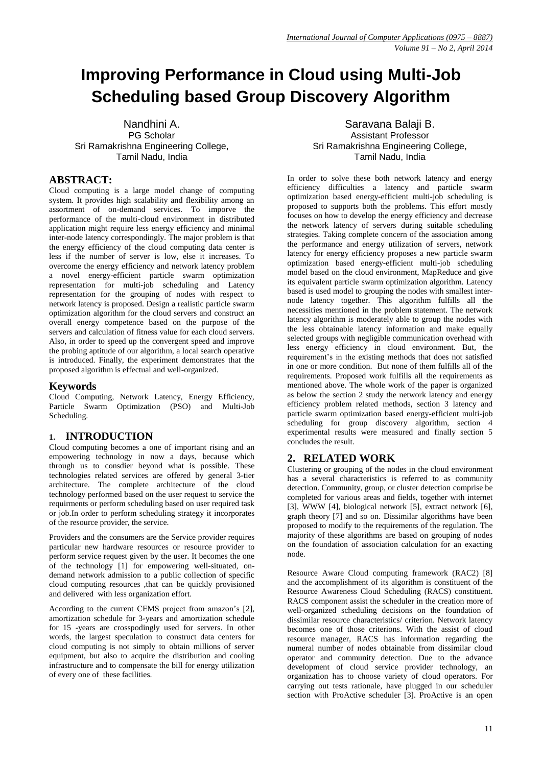# **Improving Performance in Cloud using Multi-Job Scheduling based Group Discovery Algorithm**

Nandhini A. PG Scholar Sri Ramakrishna Engineering College, Tamil Nadu, India

## **ABSTRACT:**

Cloud computing is a large model change of computing system. It provides high scalability and flexibility among an assortment of on-demand services. To imporve the performance of the multi-cloud environment in distributed application might require less energy efficiency and minimal inter-node latency correspondingly. The major problem is that the energy efficiency of the cloud computing data center is less if the number of server is low, else it increases. To overcome the energy efficiency and network latency problem a novel energy-efficient particle swarm optimization representation for multi-job scheduling and Latency representation for the grouping of nodes with respect to network latency is proposed. Design a realistic particle swarm optimization algorithm for the cloud servers and construct an overall energy competence based on the purpose of the servers and calculation of fitness value for each cloud servers. Also, in order to speed up the convergent speed and improve the probing aptitude of our algorithm, a local search operative is introduced. Finally, the experiment demonstrates that the proposed algorithm is effectual and well-organized.

#### **Keywords**

Cloud Computing, Network Latency, Energy Efficiency, Particle Swarm Optimization (PSO) and Multi-Job Scheduling.

## **1. INTRODUCTION**

Cloud computing becomes a one of important rising and an empowering technology in now a days, because which through us to consdier beyond what is possible. These technologies related services are offered by general 3-tier architecture. The complete architecture of the cloud technology performed based on the user request to service the requirments or perform scheduling based on user required task or job.In order to perform scheduling strategy it incorporates of the resource provider, the service.

Providers and the consumers are the Service provider requires particular new hardware resources or resource provider to perform service request given by the user. It becomes the one of the technology [1] for empowering well-situated, ondemand network admission to a public collection of specific cloud computing resources ,that can be quickly provisioned and delivered with less organization effort.

According to the current CEMS project from amazon's [2], amortization schedule for 3-years and amortization schedule for 15 -years are crosspodingly used for servers. In other words, the largest speculation to construct data centers for cloud computing is not simply to obtain millions of server equipment, but also to acquire the distribution and cooling infrastructure and to compensate the bill for energy utilization of every one of these facilities.

Saravana Balaji B. Assistant Professor Sri Ramakrishna Engineering College, Tamil Nadu, India

In order to solve these both network latency and energy efficiency difficulties a latency and particle swarm optimization based energy-efficient multi-job scheduling is proposed to supports both the problems. This effort mostly focuses on how to develop the energy efficiency and decrease the network latency of servers during suitable scheduling strategies. Taking complete concern of the association among the performance and energy utilization of servers, network latency for energy efficiency proposes a new particle swarm optimization based energy-efficient multi-job scheduling model based on the cloud environment, MapReduce and give its equivalent particle swarm optimization algorithm. Latency based is used model to grouping the nodes with smallest internode latency together. This algorithm fulfills all the necessities mentioned in the problem statement. The network latency algorithm is moderately able to group the nodes with the less obtainable latency information and make equally selected groups with negligible communication overhead with less energy efficiency in cloud environment. But, the requirement's in the existing methods that does not satisfied in one or more condition. But none of them fulfills all of the requirements. Proposed work fulfills all the requirements as mentioned above. The whole work of the paper is organized as below the section 2 study the network latency and energy efficiency problem related methods, section 3 latency and particle swarm optimization based energy-efficient multi-job scheduling for group discovery algorithm, section 4 experimental results were measured and finally section 5 concludes the result.

## **2. RELATED WORK**

Clustering or grouping of the nodes in the cloud environment has a several characteristics is referred to as community detection. Community, group, or cluster detection comprise be completed for various areas and fields, together with internet [3], WWW [4], biological network [5], extract network [6], graph theory [7] and so on. Dissimilar algorithms have been proposed to modify to the requirements of the regulation. The majority of these algorithms are based on grouping of nodes on the foundation of association calculation for an exacting node.

Resource Aware Cloud computing framework (RAC2) [8] and the accomplishment of its algorithm is constituent of the Resource Awareness Cloud Scheduling (RACS) constituent. RACS component assist the scheduler in the creation more of well-organized scheduling decisions on the foundation of dissimilar resource characteristics/ criterion. Network latency becomes one of those criterions. With the assist of cloud resource manager, RACS has information regarding the numeral number of nodes obtainable from dissimilar cloud operator and community detection. Due to the advance development of cloud service provider technology, an organization has to choose variety of cloud operators. For carrying out tests rationale, have plugged in our scheduler section with ProActive scheduler [3]. ProActive is an open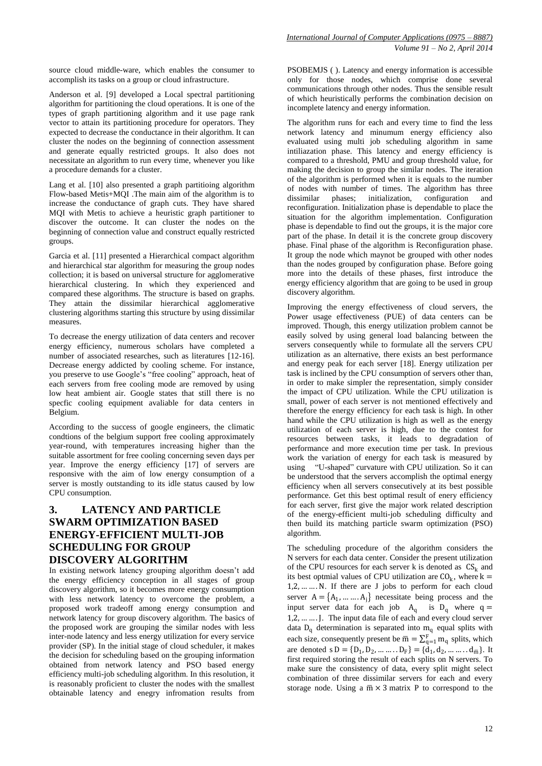source cloud middle-ware, which enables the consumer to accomplish its tasks on a group or cloud infrastructure.

Anderson et al. [9] developed a Local spectral partitioning algorithm for partitioning the cloud operations. It is one of the types of graph partitioning algorithm and it use page rank vector to attain its partitioning procedure for operators. They expected to decrease the conductance in their algorithm. It can cluster the nodes on the beginning of connection assessment and generate equally restricted groups. It also does not necessitate an algorithm to run every time, whenever you like a procedure demands for a cluster.

Lang et al. [10] also presented a graph partitioing algorithm Flow-based Metis+MQI .The main aim of the algorithm is to increase the conductance of graph cuts. They have shared MQI with Metis to achieve a heuristic graph partitioner to discover the outcome. It can cluster the nodes on the beginning of connection value and construct equally restricted groups.

Garcia et al. [11] presented a Hierarchical compact algorithm and hierarchical star algorithm for measuring the group nodes collection; it is based on universal structure for agglomerative hierarchical clustering. In which they experienced and compared these algorithms. The structure is based on graphs. They attain the dissimilar hierarchical agglomerative clustering algorithms starting this structure by using dissimilar measures.

To decrease the energy utilization of data centers and recover energy efficiency, numerous scholars have completed a number of associated researches, such as literatures [12-16]. Decrease energy addicted by cooling scheme. For instance, you preserve to use Google's "free cooling" approach, heat of each servers from free cooling mode are removed by using low heat ambient air. Google states that still there is no specfic cooling equipment avaliable for data centers in Belgium.

According to the success of google engineers, the climatic condtions of the belgium support free cooling approximately year-round, with temperatures increasing higher than the suitable assortment for free cooling concerning seven days per year. Improve the energy efficiency [17] of servers are responsive with the aim of low energy consumption of a server is mostly outstanding to its idle status caused by low CPU consumption.

## **3. LATENCY AND PARTICLE SWARM OPTIMIZATION BASED ENERGY-EFFICIENT MULTI-JOB SCHEDULING FOR GROUP DISCOVERY ALGORITHM**

In existing network latency grouping algorithm doesn't add the energy efficiency conception in all stages of group discovery algorithm, so it becomes more energy consumption with less network latency to overcome the problem, a proposed work tradeoff among energy consumption and network latency for group discovery algorithm. The basics of the proposed work are grouping the similar nodes with less inter-node latency and less energy utilization for every service provider (SP). In the initial stage of cloud scheduler, it makes the decision for scheduling based on the grouping information obtained from network latency and PSO based energy efficiency multi-job scheduling algorithm. In this resolution, it is reasonably proficient to cluster the nodes with the smallest obtainable latency and enegry infromation results from PSOBEMJS ( ). Latency and energy information is accessible only for those nodes, which comprise done several communications through other nodes. Thus the sensible result of which heuristically performs the combination decision on incomplete latency and energy information.

The algorithm runs for each and every time to find the less network latency and minumum energy efficiency also evaluated using multi job scheduling algorithm in same intiliazation phase. This latency and energy efficiency is compared to a threshold, PMU and group threshold value, for making the decision to group the similar nodes. The iteration of the algorithm is performed when it is equals to the number of nodes with number of times. The algorithm has three dissimilar phases; initialization, configuration and dissimilar phases; initialization, configuration and reconfiguration. Initialization phase is dependable to place the situation for the algorithm implementation. Configuration phase is dependable to find out the groups, it is the major core part of the phase. In detail it is the concrete group discovery phase. Final phase of the algorithm is Reconfiguration phase. It group the node which maynot be grouped with other nodes than the nodes grouped by configuration phase. Before going more into the details of these phases, first introduce the energy efficiency algorithm that are going to be used in group discovery algorithm.

Improving the energy effectiveness of cloud servers, the Power usage effectiveness (PUE) of data centers can be improved. Though, this energy utilization problem cannot be easily solved by using general load balancing between the servers consequently while to formulate all the servers CPU utilization as an alternative, there exists an best performance and energy peak for each server [18]. Energy utilization per task is inclined by the CPU consumption of servers other than, in order to make simpler the representation, simply consider the impact of CPU utilization. While the CPU utilization is small, power of each server is not mentioned effectively and therefore the energy efficiency for each task is high. In other hand while the CPU utilization is high as well as the energy utilization of each server is high, due to the contest for resources between tasks, it leads to degradation of performance and more execution time per task. In previous work the variation of energy for each task is measured by using "U-shaped" curvature with CPU utilization. So it can be understood that the servers accomplish the optimal energy efficiency when all servers consecutively at its best possible performance. Get this best optimal result of enery efficiency for each server, first give the major work related description of the energy-efficient multi-job scheduling difficulty and then build its matching particle swarm optimization (PSO) algorithm.

The scheduling procedure of the algorithm considers the N servers for each data center. Consider the present utilization of the CPU resources for each server k is denoted as  $CS_{k}$  and its best optmial values of CPU utilization are  $CO_k$ , where  $k =$ 1,2, … … .N. If there are J jobs to perform for each cloud server  $A = \{A_1, \dots, A_j\}$  necessitate being process and the input server data for each job  $A_q$  is  $D_q$  where  $q =$ 1,2, … … . J. The input data file of each and every cloud server data  $D_q$  determination is separated into  $m_q$  equal splits with each size, consequently present be  $\overline{m} = \sum_{q=1}^{F} m_q$  splits, which are denoted  $s D = \{D_1, D_2, \dots \dots \dots D_F\} = \{d_1, d_2, \dots \dots \dots d_{\overline{m}}\}.$  It first required storing the result of each splits on N servers. To make sure the consistency of data, every split might select combination of three dissimilar servers for each and every storage node. Using a  $\overline{m} \times 3$  matrix P to correspond to the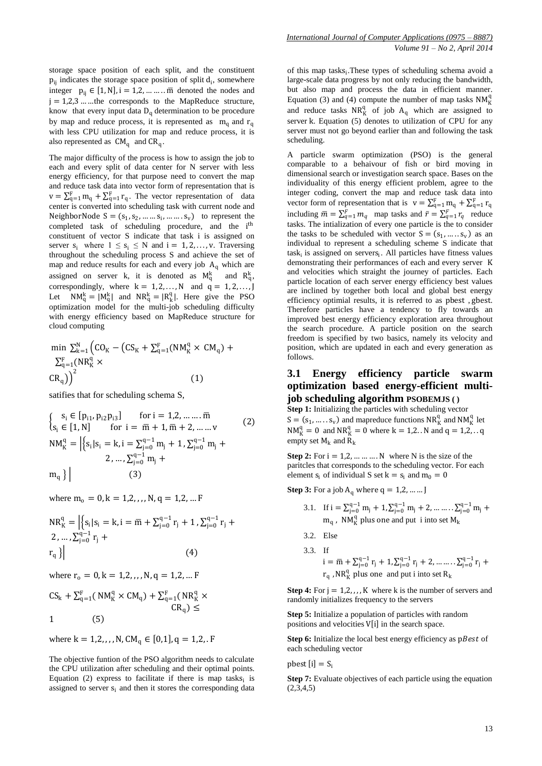storage space position of each split, and the constituent  $p_{ij}$  indicates the storage space position of split  $d_i$ , somewhere integer  $p_{ii} \in [1, N]$ , i = 1,2, ... ... m denoted the nodes and j = 1,2,3 … …the corresponds to the MapReduce structure, know that every input data  $D_q$  determination to be procedure by map and reduce process, it is represented as  $m_q$  and  $r_q$ with less CPU utilization for map and reduce process, it is also represented as  $CM_q$  and  $CR_q$ .

The major difficulty of the process is how to assign the job to each and every split of data center for N server with less energy efficiency, for that purpose need to convert the map and reduce task data into vector form of representation that is  $v = \sum_{q=1}^{F} m_q + \sum_{q=1}^{F} r_q$ . The vector representation of data center is converted into scheduling task with current node and NeighborNode  $S = (s_1, s_2, \dots, s_i, \dots, s_v)$  to represent the completed task of scheduling procedure, and the i<sup>th</sup> constituent of vector S indicate that task i is assigned on server  $s_i$  where  $1 \leq s_i \leq N$  and  $i = 1, 2, ..., v$ . Traversing throughout the scheduling process S and achieve the set of map and reduce results for each and every job  $A<sub>a</sub>$  which are assigned on server k, it is denoted as  $M_q^k$  and  $R_q^k$ , correspondingly, where  $k = 1, 2, ..., N$  and  $q = 1, 2, ..., J$ Let  $NM_q^k = |M_q^k|$  and  $NR_q^k = |R_k^q|$ . Here give the PSO optimization model for the multi-job scheduling difficulty with energy efficiency based on MapReduce structure for cloud computing

$$
\min \sum_{k=1}^{N} \left( CO_K - \left( CS_K + \sum_{q=1}^{F} (NM_K^q \times CM_q) + \sum_{q=1}^{F} (NR_K^q \times \left( CM_q \right) \right) \right)
$$
\n
$$
CR_q \right)^2
$$
\n
$$
(1)
$$

satifies that for scheduling schema S,

$$
\begin{cases}\ns_i \in [p_{i1}, p_{i2}p_{i3}] & \text{for } i = 1, 2, \dots, \overline{m} \\
s_i \in [1, N] & \text{for } i = \overline{m} + 1, \overline{m} + 2, \dots, \overline{v} \\
NM_K^q = \left| \{ s_i | s_i = k, i = \sum_{j=0}^{q-1} m_j + 1, \sum_{j=0}^{q-1} m_j + 2, \dots, \sum_{j=0}^{q-1} m_j + \right. \\
m_q \} \right| & (3)\n\end{cases} \tag{2}
$$

where  $m_0 = 0, k = 1, 2, \ldots, N, q = 1, 2, \ldots F$ 

$$
NR_{K}^{q} = \left| \left\{ s_{i} | s_{i} = k, i = \overline{m} + \sum_{j=0}^{q-1} r_{j} + 1, \sum_{j=0}^{q-1} r_{j} + 2, ..., \sum_{j=0}^{q-1} r_{j} + r_{q} \right\} \right| \tag{4}
$$

where  $r_0 = 0, k = 1, 2, \ldots, N, q = 1, 2, \ldots$  F

$$
CS_{k} + \sum_{q=1}^{F} (NM_{K}^{q} \times CM_{q}) + \sum_{q=1}^{F} (NR_{K}^{q} \times CR_{q}) \le
$$
  
1 (5)

where  $k = 1, 2, ..., N$ ,  $CM_q \in [0, 1], q = 1, 2,$ . F

The objective funtion of the PSO algorithm needs to calculate the CPU utilization after scheduling and their optimal points. Equation (2) express to facilitate if there is map tasks $_i$  is assigned to server  $s_i$  and then it stores the corresponding data

of this map tasks<sub>i</sub>. These types of scheduling schema avoid a large-scale data progress by not only reducing the bandwidth, but also map and process the data in efficient manner. Equation (3) and (4) compute the number of map tasks  $NM_K^q$ and reduce tasks  $NR_K^q$  of job  $A_q$  which are assigned to server k. Equation (5) denotes to utilization of CPU for any server must not go beyond earlier than and following the task scheduling.

A particle swarm optimization (PSO) is the general comparable to a behaivour of fish or bird moving in dimensional search or investigation search space. Bases on the individuality of this energy efficient problem, agree to the integer coding, convert the map and reduce task data into vector form of representation that is  $v = \sum_{q=1}^{F} m_q + \sum_{q=1}^{F} r_q$ including  $\bar{m} = \sum_{q=1}^{F} m_q$  map tasks and  $\bar{r} = \sum_{q=1}^{F} r_q$  reduce tasks. The intialization of every one particle is the to consider the tasks to be scheduled with vector  $S = (s_1, ..., s_v)$  as an individual to represent a scheduling scheme S indicate that  $task_i$  is assigned on servers<sub>i</sub>. All particles have fitness values demonstrating their performances of each and every server K and velocities which straight the journey of particles. Each particle location of each server energy efficiency best values are inclined by together both local and global best energy efficiency optimial results, it is referred to as pbest , gbest. Therefore particles have a tendency to fly towards an improved best energy efficiency exploration area throughout the search procedure. A particle position on the search freedom is specified by two basics, namely its velocity and position, which are updated in each and every generation as follows.

## **3.1 Energy efficiency particle swarm optimization based energy-efficient multijob scheduling algorithm PSOBEMJS ( )**

**Step 1:** Initializing the particles with scheduling vector  $S = (s_1, ..., s_v)$  and mapreduce functions  $NR_K^q$  and  $NM_K^q$  let  $NM_K^q = 0$  and  $NR_K^q = 0$  where  $k = 1,2...N$  and  $q = 1,2...q$ empty set  $M_k$  and  $R_k$ 

**Step 2:** For  $i = 1, 2, \dots, N$  where N is the size of the paritcles that corresponds to the scheduling vector. For each element  $s_i$  of individual S set  $k = s_i$  and  $m_0 = 0$ 

**Step 3:** For a job  $A_q$  where  $q = 1, 2, ...$  *...* J

3.1. If 
$$
i = \sum_{j=0}^{q-1} m_j + 1
$$
,  $\sum_{j=0}^{q-1} m_j + 2$ , .......,  $\sum_{j=0}^{q-1} m_j + m_q$ ,  $N M_K^q$  plus one and put *i* into set  $M_k$ 

- 3.2. Else
- 3.3. If  $i = \overline{m} + \sum_{j=0}^{q-1} r_j + 1, \sum_{j=0}^{q-1} r_j + 2, \dots \dots \dots \sum_{j=0}^{q-1} r_j +$  $r_q$ , NR<sup>q</sup><sub>K</sub> plus one and put i into set R<sub>k</sub>

**Step 4:** For  $j = 1, 2, \ldots, K$  where k is the number of servers and randomly initializes frequency to the servers

**Step 5:** Initialize a population of particles with random positions and velocities  $V[i]$  in the search space.

**Step 6:** Initialize the local best energy efficiency as pBest of each scheduling vector

pbest  $[i] = S_i$ 

**Step 7:** Evaluate objectives of each particle using the equation  $(2,3,4,5)$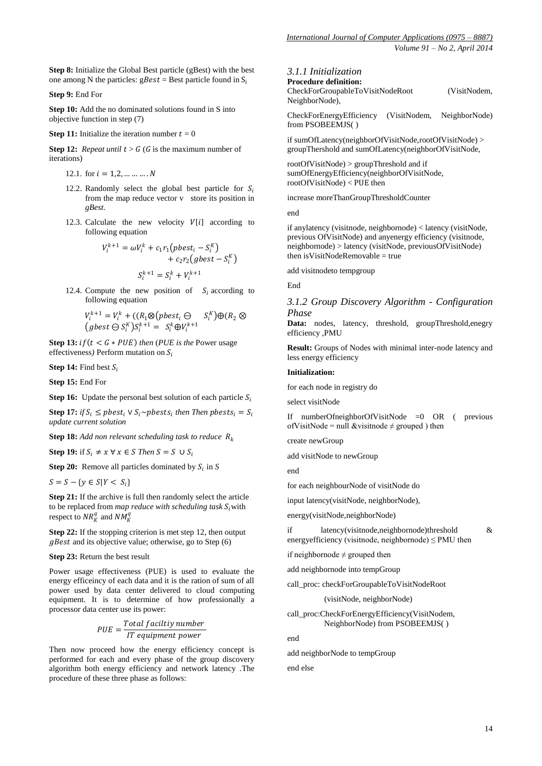**Step 8:** Initialize the Global Best particle (gBest) with the best one among N the particles:  $gBest = Best$  particle found in S<sub>i</sub>

**Step 9:** End For

**Step 10:** Add the no dominated solutions found in S into objective function in step (7)

**Step 11:** Initialize the iteration number  $t = 0$ 

**Step 12:** *Repeat until*  $t > G$  *(G is the maximum number of* iterations)

12.1. for  $i = 1, 2, ... ... ... N$ 

- 12.2. Randomly select the global best particle for  $S_i$ from the map reduce vector v store its position in *gBest*.
- 12.3. Calculate the new velocity  $V[i]$  according to following equation

$$
V_i^{k+1} = \omega V_i^k + c_1 r_1 \left( \text{pbest}_i - S_i^K \right) + c_2 r_2 \left( \text{gbest} - S_i^K \right)
$$

$$
S_i^{k+1} = S_i^k + V_i^{k+1}
$$

12.4. Compute the new position of  $S_i$  according to following equation

$$
V_i^{k+1} = V_i^k + ((R_1 \otimes (pbest_i \ominus S_i^K)) \oplus (R_2 \otimes (gbest \ominus S_i^K)) s_i^{k+1} = S_i^k \oplus V_i^{k+1}
$$

**Step 13:**  $if(t < G * PUE)$  *then* (*PUE is the* Power usage effectiveness) Perform mutation on  $S_i$ 

**Step 14:** Find best  $S_i$ 

**Step 15:** End For

**Step 16:** Update the personal best solution of each particle  $S_i$ 

**Step 17:** *if*  $S_i \leq pbest_i \vee S_i \sim pbest_s$  *then Then pbests*<sub>*i*</sub> =  $S_i$ *update current solution* 

**Step 18:** *Add non relevant scheduling task to reduce* 

**Step 19:** if  $S_i \neq x \forall x \in S$  Then  $S = S \cup S_i$ 

**Step 20:** Remove all particles dominated by  $S_i$  in *S* 

 $S = S - \{ y \in S | Y < S_i \}$ 

**Step 21:** If the archive is full then randomly select the article to be replaced from *map reduce with scheduling task*  $S_i$  with respect to  $NR_K^q$  and  $NM_K^q$ 

**Step 22:** If the stopping criterion is met step 12, then output  $qBest$  and its objective value; otherwise, go to Step (6)

**Step 23:** Return the best result

Power usage effectiveness (PUE) is used to evaluate the energy efficeincy of each data and it is the ration of sum of all power used by data center delivered to cloud computing equipment. It is to determine of how professionally a processor data center use its power:

$$
PUE = \frac{Total facility number}{IT equipment power}
$$

Then now proceed how the energy efficiency concept is performed for each and every phase of the group discovery algorithm both energy efficiency and network latency .The procedure of these three phase as follows:

#### *3.1.1 Initialization*

**Procedure definition:** CheckForGroupableToVisitNodeRoot (VisitNodem, NeighborNode),

CheckForEnergyEfficiency (VisitNodem, NeighborNode) from PSOBEEMJS( )

if sumOfLatency(neighborOfVisitNode,rootOfVisitNode) > groupThershold and sumOfLatency(neighborOfVisitNode,

rootOfVisitNode) > groupThreshold and if sumOfEnergyEfficiency(neighborOfVisitNode, rootOfVisitNode) < PUE then

increase moreThanGroupThresholdCounter

end

if anylatency (visitnode, neighbornode) < latency (visitNode, previous OfVisitNode) and anyenergy efficiency (visitnode, neighbornode) > latency (visitNode, previousOfVisitNode) then isVisitNodeRemovable = true

add visitnodeto tempgroup

End

*3.1.2 Group Discovery Algorithm - Configuration Phase*

**Data:** nodes, latency, threshold, groupThreshold,enegry efficiency ,PMU

**Result:** Groups of Nodes with minimal inter-node latency and less energy efficiency

#### **Initialization:**

for each node in registry do

select visitNode

If numberOfneighborOfVisitNode =0 OR ( previous of VisitNode = null &visitnode  $\neq$  grouped ) then

create newGroup

add visitNode to newGroup

end

for each neighbourNode of visitNode do

input latency(visitNode, neighborNode),

energy(visitNode,neighborNode)

if latency(visitnode,neighbornode)threshold & energyefficiency (visitnode, neighbornode)  $\leq$  PMU then

if neighbornode  $\neq$  grouped then

add neighbornode into tempGroup

call\_proc: checkForGroupableToVisitNodeRoot

(visitNode, neighborNode)

call\_proc:CheckForEnergyEfficiency(VisitNodem, NeighborNode) from PSOBEEMJS( )

end

add neighborNode to tempGroup

end else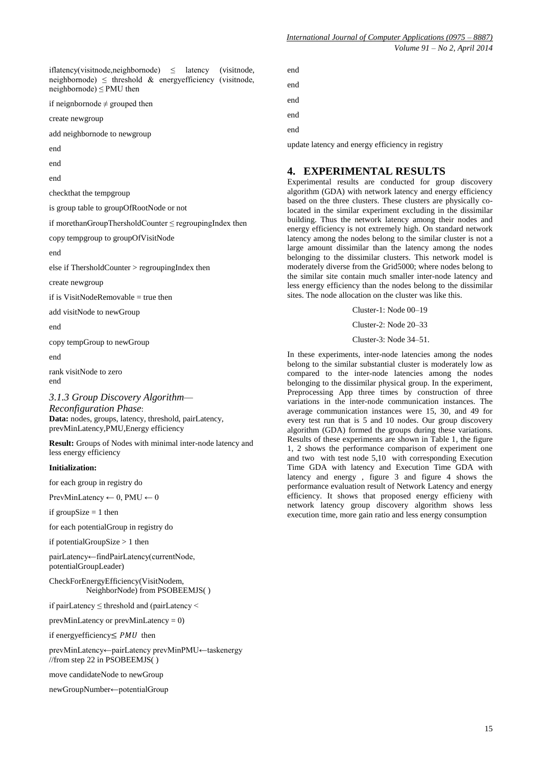*International Journal of Computer Applications (0975 – 8887) Volume 91 – No 2, April 2014*

iflatency(visitnode,neighbornode)  $\leq$  latency (visitnode, neighbornode)  $\leq$  threshold & energy efficiency (visitnode, neighbornode)  $\leq$  PMU then

if neignbornode  $\neq$  grouped then

create newgroup

add neighbornode to newgroup

end

end

end

checkthat the tempgroup

is group table to groupOfRootNode or not

if morethanGroupThersholdCounter ≤ regroupingIndex then

copy tempgroup to groupOfVisitNode

end

else if ThersholdCounter > regroupingIndex then

create newgroup

if is VisitNodeRemovable  $=$  true then

add visitNode to newGroup

end

copy tempGroup to newGroup

end

rank visitNode to zero end

*3.1.3 Group Discovery Algorithm—*

*Reconfiguration Phase*: **Data:** nodes, groups, latency, threshold, pairLatency, prevMinLatency,PMU,Energy efficiency

**Result:** Groups of Nodes with minimal inter-node latency and less energy efficiency

#### **Initialization:**

for each group in registry do

PrevMinLatency  $\leftarrow$  0, PMU  $\leftarrow$  0

if groupSize  $= 1$  then

for each potentialGroup in registry do

if potentialGroupSize > 1 then

pairLatency←findPairLatency(currentNode, potentialGroupLeader)

CheckForEnergyEfficiency(VisitNodem, NeighborNode) from PSOBEEMJS( )

if pairLatency ≤ threshold and (pairLatency <

prevMinLatency or prevMinLatency = 0)

if energy efficiency  $\leq$  PMU then

prevMinLatency←pairLatency prevMinPMU←taskenergy //from step 22 in PSOBEEMJS( )

move candidateNode to newGroup

newGroupNumber←potentialGroup

end end end end end

update latency and energy efficiency in registry

## **4. EXPERIMENTAL RESULTS**

Experimental results are conducted for group discovery algorithm (GDA) with network latency and energy efficiency based on the three clusters. These clusters are physically colocated in the similar experiment excluding in the dissimilar building. Thus the network latency among their nodes and energy efficiency is not extremely high. On standard network latency among the nodes belong to the similar cluster is not a large amount dissimilar than the latency among the nodes belonging to the dissimilar clusters. This network model is moderately diverse from the Grid5000; where nodes belong to the similar site contain much smaller inter-node latency and less energy efficiency than the nodes belong to the dissimilar sites. The node allocation on the cluster was like this.

Cluster-1: Node 00–19

Cluster-2: Node 20–33

Cluster-3: Node 34–51.

In these experiments, inter-node latencies among the nodes belong to the similar substantial cluster is moderately low as compared to the inter-node latencies among the nodes belonging to the dissimilar physical group. In the experiment, Preprocessing App three times by construction of three variations in the inter-node communication instances. The average communication instances were 15, 30, and 49 for every test run that is 5 and 10 nodes. Our group discovery algorithm (GDA) formed the groups during these variations. Results of these experiments are shown in Table 1, the figure 1, 2 shows the performance comparison of experiment one and two with test node 5,10 with corresponding Execution Time GDA with latency and Execution Time GDA with latency and energy , figure 3 and figure 4 shows the performance evaluation result of Network Latency and energy efficiency. It shows that proposed energy efficieny with network latency group discovery algorithm shows less execution time, more gain ratio and less energy consumption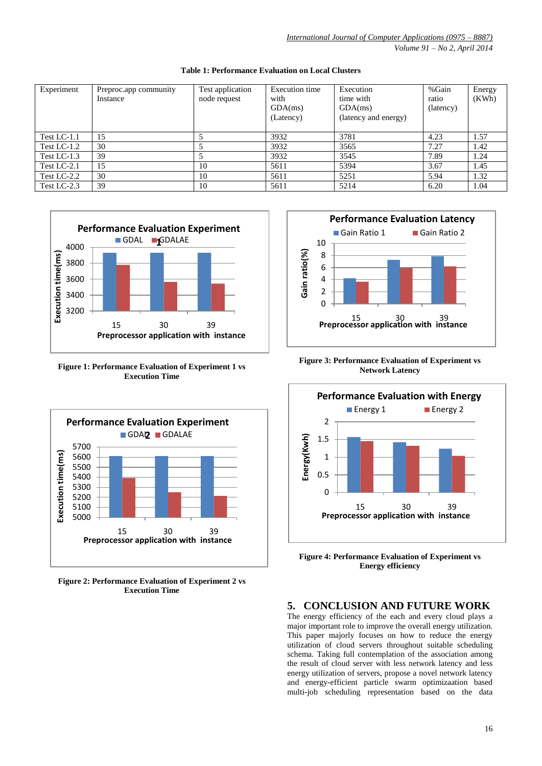| Experiment     | Preproc.app community<br>Instance | Test application<br>node request | Execution time<br>with<br>GDA(ms)<br>(Latency) | Execution<br>time with<br>GDA(ms)<br>(latency and energy) | %Gain<br>ratio<br>(latency) | Energy<br>(KWh) |
|----------------|-----------------------------------|----------------------------------|------------------------------------------------|-----------------------------------------------------------|-----------------------------|-----------------|
| Test LC-1.1    | 15                                |                                  | 3932                                           | 3781                                                      | 4.23                        | 1.57            |
| Test LC-1.2    | 30                                |                                  | 3932                                           | 3565                                                      | 7.27                        | 1.42            |
| Test LC- $1.3$ | 39                                |                                  | 3932                                           | 3545                                                      | 7.89                        | 1.24            |
| Test $LC-2.1$  | 15                                | 10                               | 5611                                           | 5394                                                      | 3.67                        | 1.45            |
| Test LC-2.2    | 30                                | 10                               | 5611                                           | 5251                                                      | 5.94                        | 1.32            |
| Test LC-2.3    | 39                                | 10                               | 5611                                           | 5214                                                      | 6.20                        | 1.04            |

#### **Table 1: Performance Evaluation on Local Clusters**



**Figure 1: Performance Evaluation of Experiment 1 vs Execution Time**



**Figure 2: Performance Evaluation of Experiment 2 vs Execution Time**



**Figure 3: Performance Evaluation of Experiment vs Network Latency**



**Figure 4: Performance Evaluation of Experiment vs Energy efficiency**

# **5. CONCLUSION AND FUTURE WORK**

The energy efficiency of the each and every cloud plays a major important role to improve the overall energy utilization. This paper majorly focuses on how to reduce the energy utilization of cloud servers throughout suitable scheduling schema. Taking full contemplation of the association among the result of cloud server with less network latency and less energy utilization of servers, propose a novel network latency and energy-efficient particle swarm optimizaation based multi-job scheduling representation based on the data